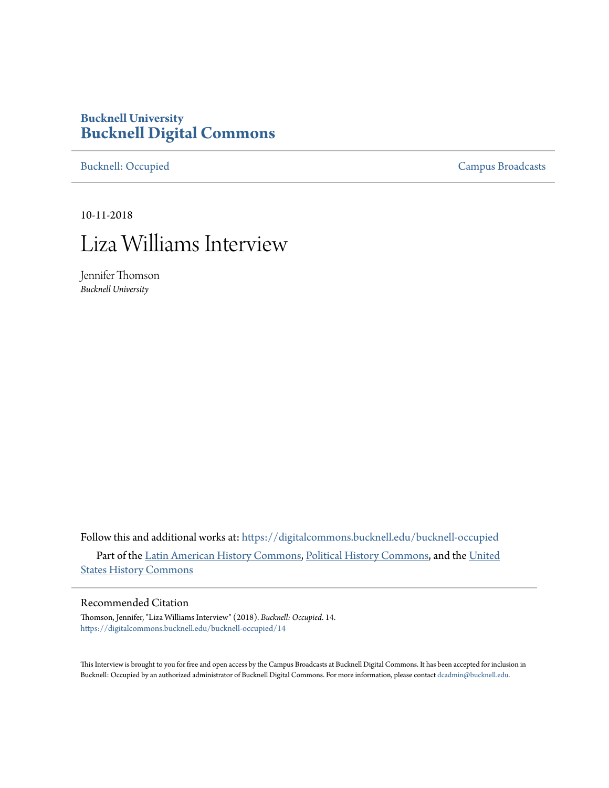## **Bucknell University [Bucknell Digital Commons](https://digitalcommons.bucknell.edu?utm_source=digitalcommons.bucknell.edu%2Fbucknell-occupied%2F14&utm_medium=PDF&utm_campaign=PDFCoverPages)**

[Bucknell: Occupied](https://digitalcommons.bucknell.edu/bucknell-occupied?utm_source=digitalcommons.bucknell.edu%2Fbucknell-occupied%2F14&utm_medium=PDF&utm_campaign=PDFCoverPages) [Campus Broadcasts](https://digitalcommons.bucknell.edu/campus-broadcasts?utm_source=digitalcommons.bucknell.edu%2Fbucknell-occupied%2F14&utm_medium=PDF&utm_campaign=PDFCoverPages)

10-11-2018

# Liza Williams Interview

Jennifer Thomson *Bucknell University*

Follow this and additional works at: [https://digitalcommons.bucknell.edu/bucknell-occupied](https://digitalcommons.bucknell.edu/bucknell-occupied?utm_source=digitalcommons.bucknell.edu%2Fbucknell-occupied%2F14&utm_medium=PDF&utm_campaign=PDFCoverPages) Part of the [Latin American History Commons,](http://network.bepress.com/hgg/discipline/494?utm_source=digitalcommons.bucknell.edu%2Fbucknell-occupied%2F14&utm_medium=PDF&utm_campaign=PDFCoverPages) [Political History Commons](http://network.bepress.com/hgg/discipline/505?utm_source=digitalcommons.bucknell.edu%2Fbucknell-occupied%2F14&utm_medium=PDF&utm_campaign=PDFCoverPages), and the [United](http://network.bepress.com/hgg/discipline/495?utm_source=digitalcommons.bucknell.edu%2Fbucknell-occupied%2F14&utm_medium=PDF&utm_campaign=PDFCoverPages) [States History Commons](http://network.bepress.com/hgg/discipline/495?utm_source=digitalcommons.bucknell.edu%2Fbucknell-occupied%2F14&utm_medium=PDF&utm_campaign=PDFCoverPages)

#### Recommended Citation

Thomson, Jennifer, "Liza Williams Interview" (2018). *Bucknell: Occupied*. 14. [https://digitalcommons.bucknell.edu/bucknell-occupied/14](https://digitalcommons.bucknell.edu/bucknell-occupied/14?utm_source=digitalcommons.bucknell.edu%2Fbucknell-occupied%2F14&utm_medium=PDF&utm_campaign=PDFCoverPages)

This Interview is brought to you for free and open access by the Campus Broadcasts at Bucknell Digital Commons. It has been accepted for inclusion in Bucknell: Occupied by an authorized administrator of Bucknell Digital Commons. For more information, please contact [dcadmin@bucknell.edu](mailto:dcadmin@bucknell.edu).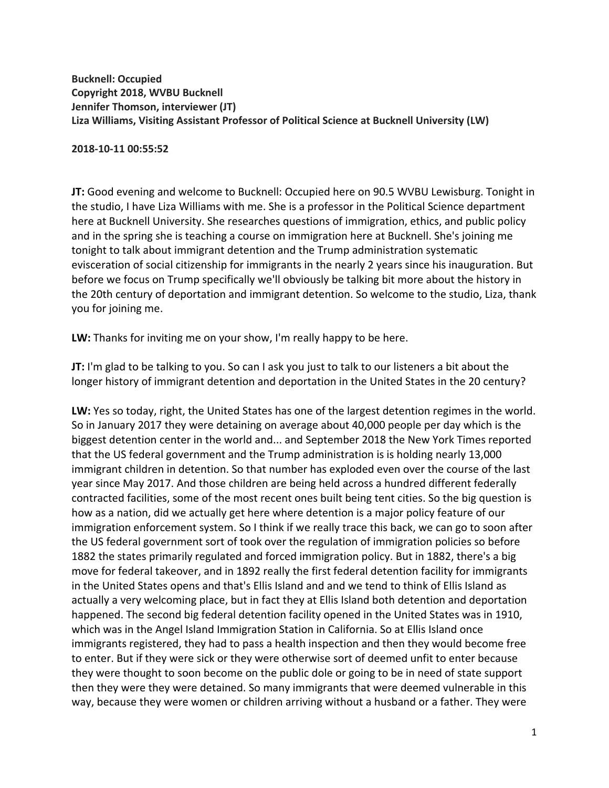**Bucknell: Occupied Copyright 2018, WVBU Bucknell Jennifer Thomson, interviewer (JT) Liza Williams, Visiting Assistant Professor of Political Science at Bucknell University (LW)**

#### **2018-10-11 00:55:52**

**JT:** Good evening and welcome to Bucknell: Occupied here on 90.5 WVBU Lewisburg. Tonight in the studio, I have Liza Williams with me. She is a professor in the Political Science department here at Bucknell University. She researches questions of immigration, ethics, and public policy and in the spring she is teaching a course on immigration here at Bucknell. She's joining me tonight to talk about immigrant detention and the Trump administration systematic evisceration of social citizenship for immigrants in the nearly 2 years since his inauguration. But before we focus on Trump specifically we'll obviously be talking bit more about the history in the 20th century of deportation and immigrant detention. So welcome to the studio, Liza, thank you for joining me.

**LW:** Thanks for inviting me on your show, I'm really happy to be here.

**JT:** I'm glad to be talking to you. So can I ask you just to talk to our listeners a bit about the longer history of immigrant detention and deportation in the United States in the 20 century?

**LW:** Yes so today, right, the United States has one of the largest detention regimes in the world. So in January 2017 they were detaining on average about 40,000 people per day which is the biggest detention center in the world and... and September 2018 the New York Times reported that the US federal government and the Trump administration is is holding nearly 13,000 immigrant children in detention. So that number has exploded even over the course of the last year since May 2017. And those children are being held across a hundred different federally contracted facilities, some of the most recent ones built being tent cities. So the big question is how as a nation, did we actually get here where detention is a major policy feature of our immigration enforcement system. So I think if we really trace this back, we can go to soon after the US federal government sort of took over the regulation of immigration policies so before 1882 the states primarily regulated and forced immigration policy. But in 1882, there's a big move for federal takeover, and in 1892 really the first federal detention facility for immigrants in the United States opens and that's Ellis Island and and we tend to think of Ellis Island as actually a very welcoming place, but in fact they at Ellis Island both detention and deportation happened. The second big federal detention facility opened in the United States was in 1910, which was in the Angel Island Immigration Station in California. So at Ellis Island once immigrants registered, they had to pass a health inspection and then they would become free to enter. But if they were sick or they were otherwise sort of deemed unfit to enter because they were thought to soon become on the public dole or going to be in need of state support then they were they were detained. So many immigrants that were deemed vulnerable in this way, because they were women or children arriving without a husband or a father. They were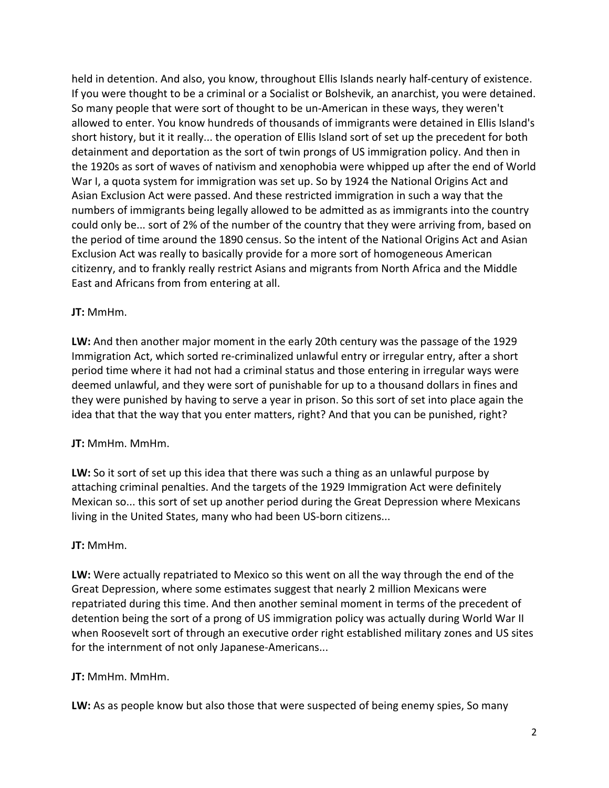held in detention. And also, you know, throughout Ellis Islands nearly half-century of existence. If you were thought to be a criminal or a Socialist or Bolshevik, an anarchist, you were detained. So many people that were sort of thought to be un-American in these ways, they weren't allowed to enter. You know hundreds of thousands of immigrants were detained in Ellis Island's short history, but it it really... the operation of Ellis Island sort of set up the precedent for both detainment and deportation as the sort of twin prongs of US immigration policy. And then in the 1920s as sort of waves of nativism and xenophobia were whipped up after the end of World War I, a quota system for immigration was set up. So by 1924 the National Origins Act and Asian Exclusion Act were passed. And these restricted immigration in such a way that the numbers of immigrants being legally allowed to be admitted as as immigrants into the country could only be... sort of 2% of the number of the country that they were arriving from, based on the period of time around the 1890 census. So the intent of the National Origins Act and Asian Exclusion Act was really to basically provide for a more sort of homogeneous American citizenry, and to frankly really restrict Asians and migrants from North Africa and the Middle East and Africans from from entering at all.

### **JT:** MmHm.

**LW:** And then another major moment in the early 20th century was the passage of the 1929 Immigration Act, which sorted re-criminalized unlawful entry or irregular entry, after a short period time where it had not had a criminal status and those entering in irregular ways were deemed unlawful, and they were sort of punishable for up to a thousand dollars in fines and they were punished by having to serve a year in prison. So this sort of set into place again the idea that that the way that you enter matters, right? And that you can be punished, right?

### **JT:** MmHm. MmHm.

**LW:** So it sort of set up this idea that there was such a thing as an unlawful purpose by attaching criminal penalties. And the targets of the 1929 Immigration Act were definitely Mexican so... this sort of set up another period during the Great Depression where Mexicans living in the United States, many who had been US-born citizens...

#### **JT:** MmHm.

**LW:** Were actually repatriated to Mexico so this went on all the way through the end of the Great Depression, where some estimates suggest that nearly 2 million Mexicans were repatriated during this time. And then another seminal moment in terms of the precedent of detention being the sort of a prong of US immigration policy was actually during World War II when Roosevelt sort of through an executive order right established military zones and US sites for the internment of not only Japanese-Americans...

#### **JT:** MmHm. MmHm.

**LW:** As as people know but also those that were suspected of being enemy spies, So many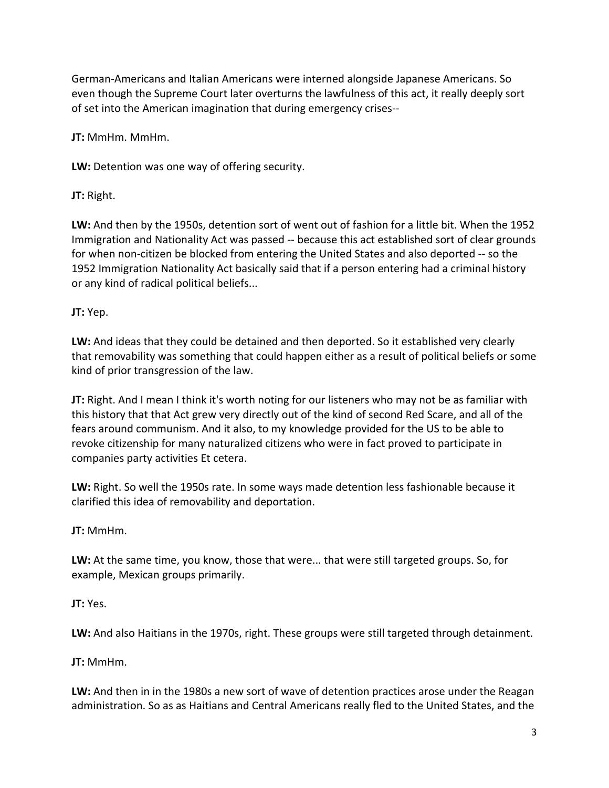German-Americans and Italian Americans were interned alongside Japanese Americans. So even though the Supreme Court later overturns the lawfulness of this act, it really deeply sort of set into the American imagination that during emergency crises--

**JT:** MmHm. MmHm.

**LW:** Detention was one way of offering security.

**JT:** Right.

**LW:** And then by the 1950s, detention sort of went out of fashion for a little bit. When the 1952 Immigration and Nationality Act was passed -- because this act established sort of clear grounds for when non-citizen be blocked from entering the United States and also deported -- so the 1952 Immigration Nationality Act basically said that if a person entering had a criminal history or any kind of radical political beliefs...

**JT:** Yep.

**LW:** And ideas that they could be detained and then deported. So it established very clearly that removability was something that could happen either as a result of political beliefs or some kind of prior transgression of the law.

**JT:** Right. And I mean I think it's worth noting for our listeners who may not be as familiar with this history that that Act grew very directly out of the kind of second Red Scare, and all of the fears around communism. And it also, to my knowledge provided for the US to be able to revoke citizenship for many naturalized citizens who were in fact proved to participate in companies party activities Et cetera.

**LW:** Right. So well the 1950s rate. In some ways made detention less fashionable because it clarified this idea of removability and deportation.

**JT:** MmHm.

**LW:** At the same time, you know, those that were... that were still targeted groups. So, for example, Mexican groups primarily.

**JT:** Yes.

**LW:** And also Haitians in the 1970s, right. These groups were still targeted through detainment.

**JT:** MmHm.

**LW:** And then in in the 1980s a new sort of wave of detention practices arose under the Reagan administration. So as as Haitians and Central Americans really fled to the United States, and the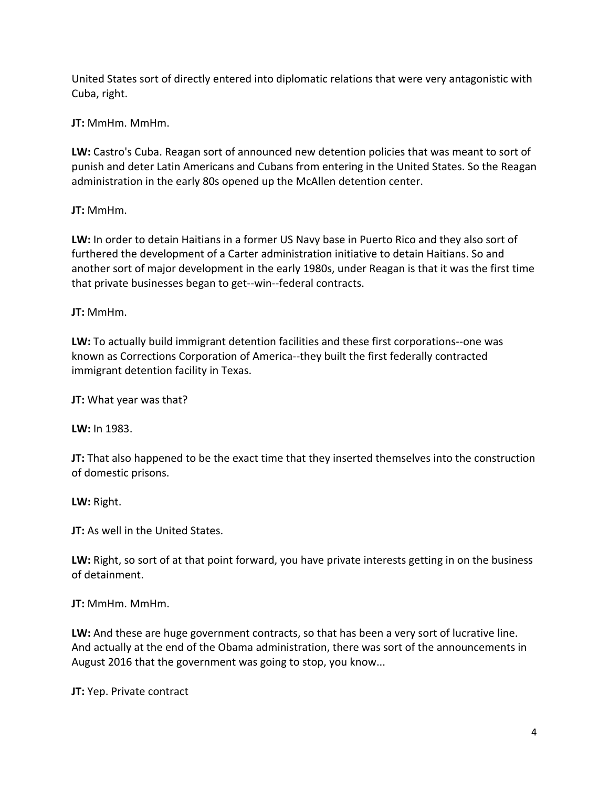United States sort of directly entered into diplomatic relations that were very antagonistic with Cuba, right.

**JT:** MmHm. MmHm.

**LW:** Castro's Cuba. Reagan sort of announced new detention policies that was meant to sort of punish and deter Latin Americans and Cubans from entering in the United States. So the Reagan administration in the early 80s opened up the McAllen detention center.

**JT:** MmHm.

**LW:** In order to detain Haitians in a former US Navy base in Puerto Rico and they also sort of furthered the development of a Carter administration initiative to detain Haitians. So and another sort of major development in the early 1980s, under Reagan is that it was the first time that private businesses began to get--win--federal contracts.

**JT:** MmHm.

**LW:** To actually build immigrant detention facilities and these first corporations--one was known as Corrections Corporation of America--they built the first federally contracted immigrant detention facility in Texas.

**JT:** What year was that?

**LW:** In 1983.

**JT:** That also happened to be the exact time that they inserted themselves into the construction of domestic prisons.

**LW:** Right.

**JT:** As well in the United States.

**LW:** Right, so sort of at that point forward, you have private interests getting in on the business of detainment.

**JT:** MmHm. MmHm.

**LW:** And these are huge government contracts, so that has been a very sort of lucrative line. And actually at the end of the Obama administration, there was sort of the announcements in August 2016 that the government was going to stop, you know...

**JT:** Yep. Private contract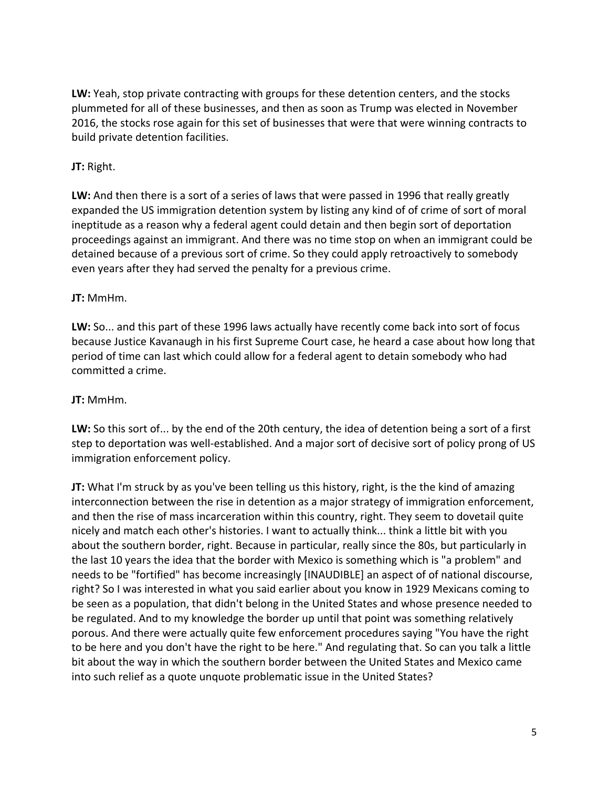**LW:** Yeah, stop private contracting with groups for these detention centers, and the stocks plummeted for all of these businesses, and then as soon as Trump was elected in November 2016, the stocks rose again for this set of businesses that were that were winning contracts to build private detention facilities.

## **JT:** Right.

**LW:** And then there is a sort of a series of laws that were passed in 1996 that really greatly expanded the US immigration detention system by listing any kind of of crime of sort of moral ineptitude as a reason why a federal agent could detain and then begin sort of deportation proceedings against an immigrant. And there was no time stop on when an immigrant could be detained because of a previous sort of crime. So they could apply retroactively to somebody even years after they had served the penalty for a previous crime.

### **JT:** MmHm.

**LW:** So... and this part of these 1996 laws actually have recently come back into sort of focus because Justice Kavanaugh in his first Supreme Court case, he heard a case about how long that period of time can last which could allow for a federal agent to detain somebody who had committed a crime.

## **JT:** MmHm.

**LW:** So this sort of... by the end of the 20th century, the idea of detention being a sort of a first step to deportation was well-established. And a major sort of decisive sort of policy prong of US immigration enforcement policy.

**JT:** What I'm struck by as you've been telling us this history, right, is the the kind of amazing interconnection between the rise in detention as a major strategy of immigration enforcement, and then the rise of mass incarceration within this country, right. They seem to dovetail quite nicely and match each other's histories. I want to actually think... think a little bit with you about the southern border, right. Because in particular, really since the 80s, but particularly in the last 10 years the idea that the border with Mexico is something which is "a problem" and needs to be "fortified" has become increasingly [INAUDIBLE] an aspect of of national discourse, right? So I was interested in what you said earlier about you know in 1929 Mexicans coming to be seen as a population, that didn't belong in the United States and whose presence needed to be regulated. And to my knowledge the border up until that point was something relatively porous. And there were actually quite few enforcement procedures saying "You have the right to be here and you don't have the right to be here." And regulating that. So can you talk a little bit about the way in which the southern border between the United States and Mexico came into such relief as a quote unquote problematic issue in the United States?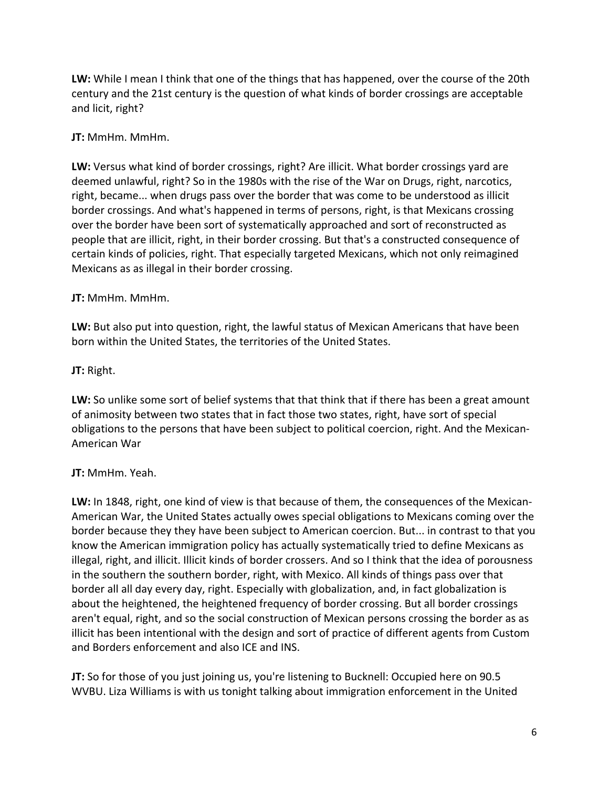**LW:** While I mean I think that one of the things that has happened, over the course of the 20th century and the 21st century is the question of what kinds of border crossings are acceptable and licit, right?

### **JT:** MmHm. MmHm.

**LW:** Versus what kind of border crossings, right? Are illicit. What border crossings yard are deemed unlawful, right? So in the 1980s with the rise of the War on Drugs, right, narcotics, right, became... when drugs pass over the border that was come to be understood as illicit border crossings. And what's happened in terms of persons, right, is that Mexicans crossing over the border have been sort of systematically approached and sort of reconstructed as people that are illicit, right, in their border crossing. But that's a constructed consequence of certain kinds of policies, right. That especially targeted Mexicans, which not only reimagined Mexicans as as illegal in their border crossing.

## **JT:** MmHm. MmHm.

**LW:** But also put into question, right, the lawful status of Mexican Americans that have been born within the United States, the territories of the United States.

## **JT:** Right.

**LW:** So unlike some sort of belief systems that that think that if there has been a great amount of animosity between two states that in fact those two states, right, have sort of special obligations to the persons that have been subject to political coercion, right. And the Mexican-American War

## **JT:** MmHm. Yeah.

**LW:** In 1848, right, one kind of view is that because of them, the consequences of the Mexican-American War, the United States actually owes special obligations to Mexicans coming over the border because they they have been subject to American coercion. But... in contrast to that you know the American immigration policy has actually systematically tried to define Mexicans as illegal, right, and illicit. Illicit kinds of border crossers. And so I think that the idea of porousness in the southern the southern border, right, with Mexico. All kinds of things pass over that border all all day every day, right. Especially with globalization, and, in fact globalization is about the heightened, the heightened frequency of border crossing. But all border crossings aren't equal, right, and so the social construction of Mexican persons crossing the border as as illicit has been intentional with the design and sort of practice of different agents from Custom and Borders enforcement and also ICE and INS.

**JT:** So for those of you just joining us, you're listening to Bucknell: Occupied here on 90.5 WVBU. Liza Williams is with us tonight talking about immigration enforcement in the United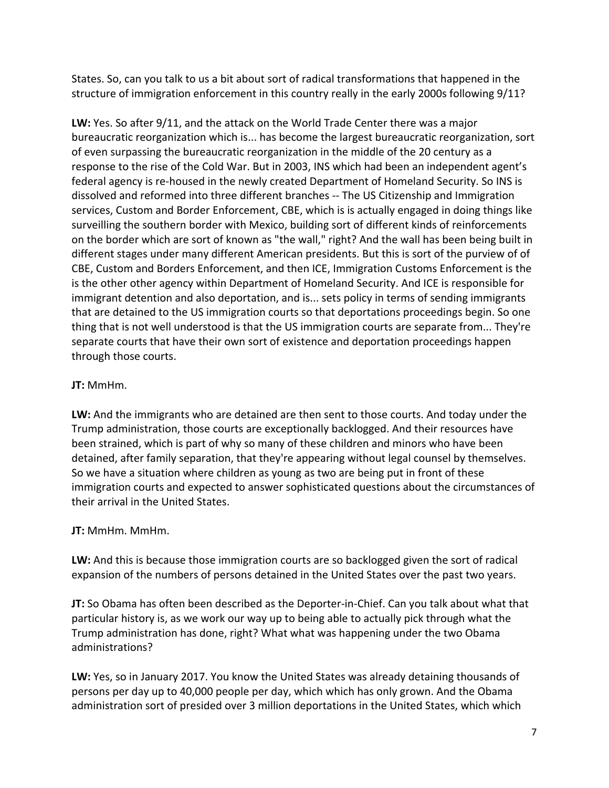States. So, can you talk to us a bit about sort of radical transformations that happened in the structure of immigration enforcement in this country really in the early 2000s following 9/11?

**LW:** Yes. So after 9/11, and the attack on the World Trade Center there was a major bureaucratic reorganization which is... has become the largest bureaucratic reorganization, sort of even surpassing the bureaucratic reorganization in the middle of the 20 century as a response to the rise of the Cold War. But in 2003, INS which had been an independent agent's federal agency is re-housed in the newly created Department of Homeland Security. So INS is dissolved and reformed into three different branches -- The US Citizenship and Immigration services, Custom and Border Enforcement, CBE, which is is actually engaged in doing things like surveilling the southern border with Mexico, building sort of different kinds of reinforcements on the border which are sort of known as "the wall," right? And the wall has been being built in different stages under many different American presidents. But this is sort of the purview of of CBE, Custom and Borders Enforcement, and then ICE, Immigration Customs Enforcement is the is the other other agency within Department of Homeland Security. And ICE is responsible for immigrant detention and also deportation, and is... sets policy in terms of sending immigrants that are detained to the US immigration courts so that deportations proceedings begin. So one thing that is not well understood is that the US immigration courts are separate from... They're separate courts that have their own sort of existence and deportation proceedings happen through those courts.

## **JT:** MmHm.

**LW:** And the immigrants who are detained are then sent to those courts. And today under the Trump administration, those courts are exceptionally backlogged. And their resources have been strained, which is part of why so many of these children and minors who have been detained, after family separation, that they're appearing without legal counsel by themselves. So we have a situation where children as young as two are being put in front of these immigration courts and expected to answer sophisticated questions about the circumstances of their arrival in the United States.

### **JT:** MmHm. MmHm.

**LW:** And this is because those immigration courts are so backlogged given the sort of radical expansion of the numbers of persons detained in the United States over the past two years.

**JT:** So Obama has often been described as the Deporter-in-Chief. Can you talk about what that particular history is, as we work our way up to being able to actually pick through what the Trump administration has done, right? What what was happening under the two Obama administrations?

**LW:** Yes, so in January 2017. You know the United States was already detaining thousands of persons per day up to 40,000 people per day, which which has only grown. And the Obama administration sort of presided over 3 million deportations in the United States, which which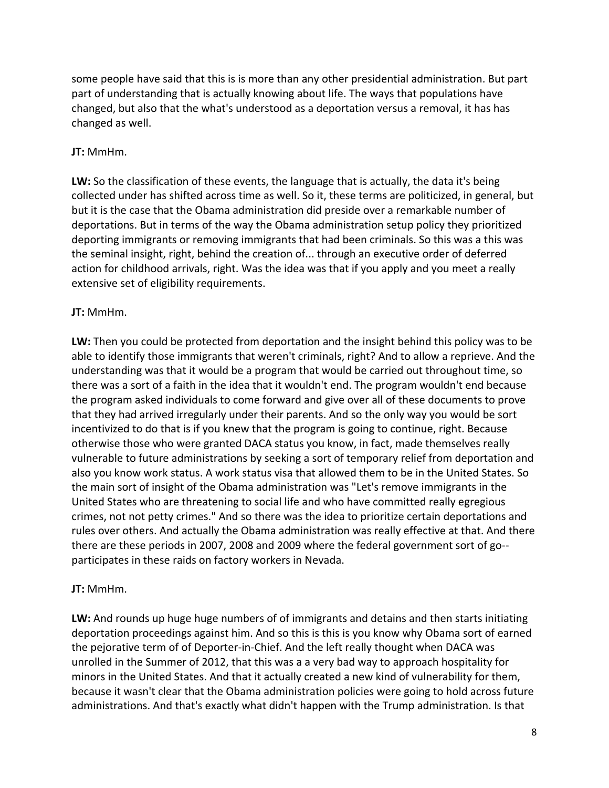some people have said that this is is more than any other presidential administration. But part part of understanding that is actually knowing about life. The ways that populations have changed, but also that the what's understood as a deportation versus a removal, it has has changed as well.

#### **JT:** MmHm.

**LW:** So the classification of these events, the language that is actually, the data it's being collected under has shifted across time as well. So it, these terms are politicized, in general, but but it is the case that the Obama administration did preside over a remarkable number of deportations. But in terms of the way the Obama administration setup policy they prioritized deporting immigrants or removing immigrants that had been criminals. So this was a this was the seminal insight, right, behind the creation of... through an executive order of deferred action for childhood arrivals, right. Was the idea was that if you apply and you meet a really extensive set of eligibility requirements.

### **JT:** MmHm.

**LW:** Then you could be protected from deportation and the insight behind this policy was to be able to identify those immigrants that weren't criminals, right? And to allow a reprieve. And the understanding was that it would be a program that would be carried out throughout time, so there was a sort of a faith in the idea that it wouldn't end. The program wouldn't end because the program asked individuals to come forward and give over all of these documents to prove that they had arrived irregularly under their parents. And so the only way you would be sort incentivized to do that is if you knew that the program is going to continue, right. Because otherwise those who were granted DACA status you know, in fact, made themselves really vulnerable to future administrations by seeking a sort of temporary relief from deportation and also you know work status. A work status visa that allowed them to be in the United States. So the main sort of insight of the Obama administration was "Let's remove immigrants in the United States who are threatening to social life and who have committed really egregious crimes, not not petty crimes." And so there was the idea to prioritize certain deportations and rules over others. And actually the Obama administration was really effective at that. And there there are these periods in 2007, 2008 and 2009 where the federal government sort of go- participates in these raids on factory workers in Nevada.

#### **JT:** MmHm.

**LW:** And rounds up huge huge numbers of of immigrants and detains and then starts initiating deportation proceedings against him. And so this is this is you know why Obama sort of earned the pejorative term of of Deporter-in-Chief. And the left really thought when DACA was unrolled in the Summer of 2012, that this was a a very bad way to approach hospitality for minors in the United States. And that it actually created a new kind of vulnerability for them, because it wasn't clear that the Obama administration policies were going to hold across future administrations. And that's exactly what didn't happen with the Trump administration. Is that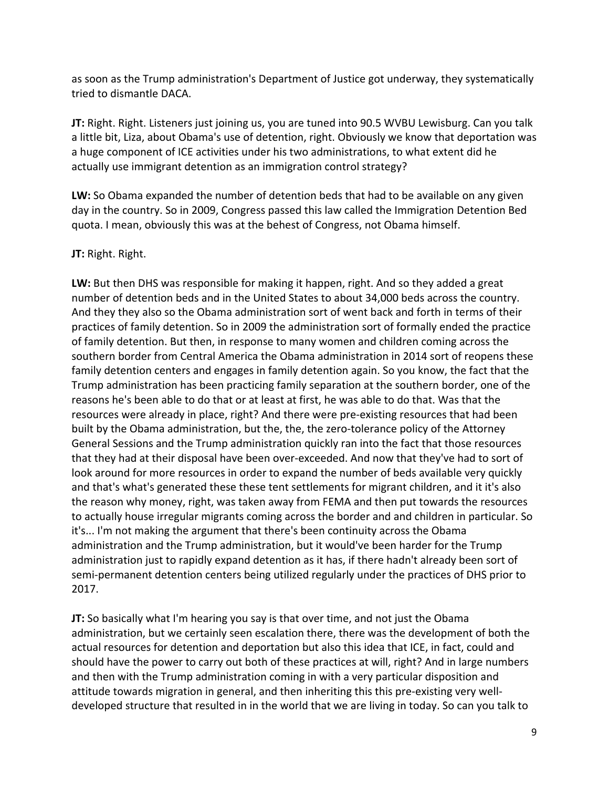as soon as the Trump administration's Department of Justice got underway, they systematically tried to dismantle DACA.

**JT:** Right. Right. Listeners just joining us, you are tuned into 90.5 WVBU Lewisburg. Can you talk a little bit, Liza, about Obama's use of detention, right. Obviously we know that deportation was a huge component of ICE activities under his two administrations, to what extent did he actually use immigrant detention as an immigration control strategy?

**LW:** So Obama expanded the number of detention beds that had to be available on any given day in the country. So in 2009, Congress passed this law called the Immigration Detention Bed quota. I mean, obviously this was at the behest of Congress, not Obama himself.

### **JT:** Right. Right.

**LW:** But then DHS was responsible for making it happen, right. And so they added a great number of detention beds and in the United States to about 34,000 beds across the country. And they they also so the Obama administration sort of went back and forth in terms of their practices of family detention. So in 2009 the administration sort of formally ended the practice of family detention. But then, in response to many women and children coming across the southern border from Central America the Obama administration in 2014 sort of reopens these family detention centers and engages in family detention again. So you know, the fact that the Trump administration has been practicing family separation at the southern border, one of the reasons he's been able to do that or at least at first, he was able to do that. Was that the resources were already in place, right? And there were pre-existing resources that had been built by the Obama administration, but the, the, the zero-tolerance policy of the Attorney General Sessions and the Trump administration quickly ran into the fact that those resources that they had at their disposal have been over-exceeded. And now that they've had to sort of look around for more resources in order to expand the number of beds available very quickly and that's what's generated these these tent settlements for migrant children, and it it's also the reason why money, right, was taken away from FEMA and then put towards the resources to actually house irregular migrants coming across the border and and children in particular. So it's... I'm not making the argument that there's been continuity across the Obama administration and the Trump administration, but it would've been harder for the Trump administration just to rapidly expand detention as it has, if there hadn't already been sort of semi-permanent detention centers being utilized regularly under the practices of DHS prior to 2017.

**JT:** So basically what I'm hearing you say is that over time, and not just the Obama administration, but we certainly seen escalation there, there was the development of both the actual resources for detention and deportation but also this idea that ICE, in fact, could and should have the power to carry out both of these practices at will, right? And in large numbers and then with the Trump administration coming in with a very particular disposition and attitude towards migration in general, and then inheriting this this pre-existing very welldeveloped structure that resulted in in the world that we are living in today. So can you talk to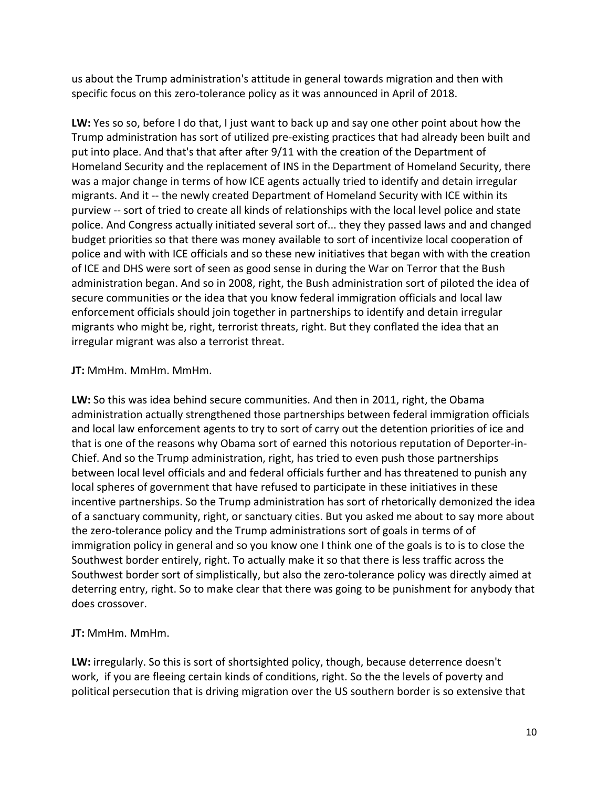us about the Trump administration's attitude in general towards migration and then with specific focus on this zero-tolerance policy as it was announced in April of 2018.

**LW:** Yes so so, before I do that, I just want to back up and say one other point about how the Trump administration has sort of utilized pre-existing practices that had already been built and put into place. And that's that after after 9/11 with the creation of the Department of Homeland Security and the replacement of INS in the Department of Homeland Security, there was a major change in terms of how ICE agents actually tried to identify and detain irregular migrants. And it -- the newly created Department of Homeland Security with ICE within its purview -- sort of tried to create all kinds of relationships with the local level police and state police. And Congress actually initiated several sort of... they they passed laws and and changed budget priorities so that there was money available to sort of incentivize local cooperation of police and with with ICE officials and so these new initiatives that began with with the creation of ICE and DHS were sort of seen as good sense in during the War on Terror that the Bush administration began. And so in 2008, right, the Bush administration sort of piloted the idea of secure communities or the idea that you know federal immigration officials and local law enforcement officials should join together in partnerships to identify and detain irregular migrants who might be, right, terrorist threats, right. But they conflated the idea that an irregular migrant was also a terrorist threat.

#### **JT:** MmHm. MmHm. MmHm.

**LW:** So this was idea behind secure communities. And then in 2011, right, the Obama administration actually strengthened those partnerships between federal immigration officials and local law enforcement agents to try to sort of carry out the detention priorities of ice and that is one of the reasons why Obama sort of earned this notorious reputation of Deporter-in-Chief. And so the Trump administration, right, has tried to even push those partnerships between local level officials and and federal officials further and has threatened to punish any local spheres of government that have refused to participate in these initiatives in these incentive partnerships. So the Trump administration has sort of rhetorically demonized the idea of a sanctuary community, right, or sanctuary cities. But you asked me about to say more about the zero-tolerance policy and the Trump administrations sort of goals in terms of of immigration policy in general and so you know one I think one of the goals is to is to close the Southwest border entirely, right. To actually make it so that there is less traffic across the Southwest border sort of simplistically, but also the zero-tolerance policy was directly aimed at deterring entry, right. So to make clear that there was going to be punishment for anybody that does crossover.

### **JT:** MmHm. MmHm.

**LW:** irregularly. So this is sort of shortsighted policy, though, because deterrence doesn't work, if you are fleeing certain kinds of conditions, right. So the the levels of poverty and political persecution that is driving migration over the US southern border is so extensive that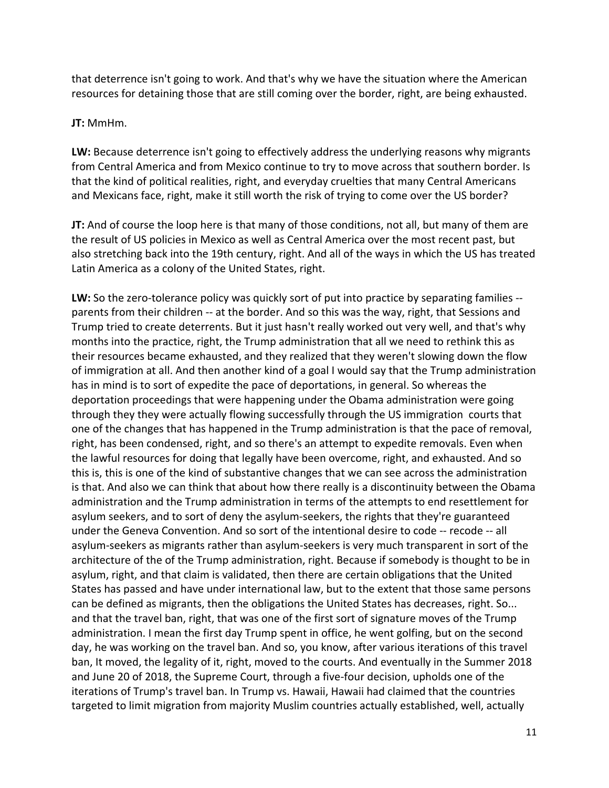that deterrence isn't going to work. And that's why we have the situation where the American resources for detaining those that are still coming over the border, right, are being exhausted.

#### **JT:** MmHm.

**LW:** Because deterrence isn't going to effectively address the underlying reasons why migrants from Central America and from Mexico continue to try to move across that southern border. Is that the kind of political realities, right, and everyday cruelties that many Central Americans and Mexicans face, right, make it still worth the risk of trying to come over the US border?

**JT:** And of course the loop here is that many of those conditions, not all, but many of them are the result of US policies in Mexico as well as Central America over the most recent past, but also stretching back into the 19th century, right. And all of the ways in which the US has treated Latin America as a colony of the United States, right.

**LW:** So the zero-tolerance policy was quickly sort of put into practice by separating families - parents from their children -- at the border. And so this was the way, right, that Sessions and Trump tried to create deterrents. But it just hasn't really worked out very well, and that's why months into the practice, right, the Trump administration that all we need to rethink this as their resources became exhausted, and they realized that they weren't slowing down the flow of immigration at all. And then another kind of a goal I would say that the Trump administration has in mind is to sort of expedite the pace of deportations, in general. So whereas the deportation proceedings that were happening under the Obama administration were going through they they were actually flowing successfully through the US immigration courts that one of the changes that has happened in the Trump administration is that the pace of removal, right, has been condensed, right, and so there's an attempt to expedite removals. Even when the lawful resources for doing that legally have been overcome, right, and exhausted. And so this is, this is one of the kind of substantive changes that we can see across the administration is that. And also we can think that about how there really is a discontinuity between the Obama administration and the Trump administration in terms of the attempts to end resettlement for asylum seekers, and to sort of deny the asylum-seekers, the rights that they're guaranteed under the Geneva Convention. And so sort of the intentional desire to code -- recode -- all asylum-seekers as migrants rather than asylum-seekers is very much transparent in sort of the architecture of the of the Trump administration, right. Because if somebody is thought to be in asylum, right, and that claim is validated, then there are certain obligations that the United States has passed and have under international law, but to the extent that those same persons can be defined as migrants, then the obligations the United States has decreases, right. So... and that the travel ban, right, that was one of the first sort of signature moves of the Trump administration. I mean the first day Trump spent in office, he went golfing, but on the second day, he was working on the travel ban. And so, you know, after various iterations of this travel ban, It moved, the legality of it, right, moved to the courts. And eventually in the Summer 2018 and June 20 of 2018, the Supreme Court, through a five-four decision, upholds one of the iterations of Trump's travel ban. In Trump vs. Hawaii, Hawaii had claimed that the countries targeted to limit migration from majority Muslim countries actually established, well, actually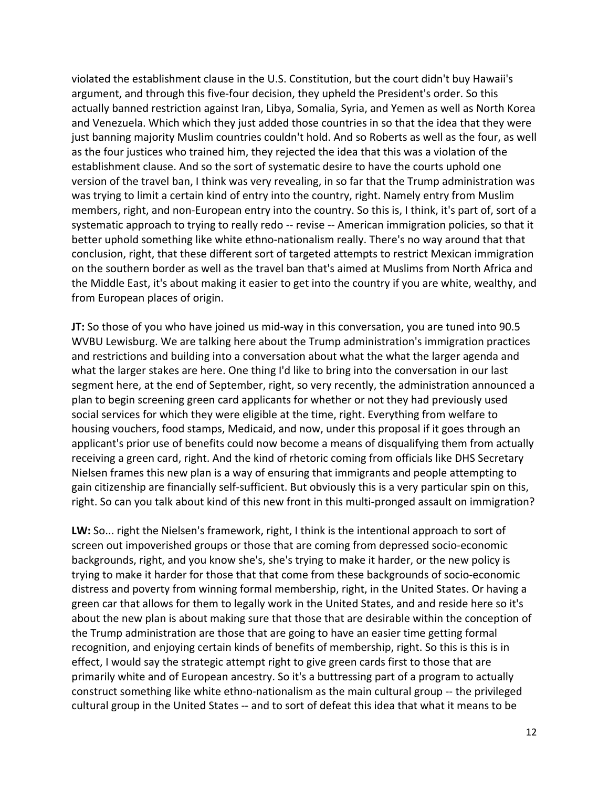violated the establishment clause in the U.S. Constitution, but the court didn't buy Hawaii's argument, and through this five-four decision, they upheld the President's order. So this actually banned restriction against Iran, Libya, Somalia, Syria, and Yemen as well as North Korea and Venezuela. Which which they just added those countries in so that the idea that they were just banning majority Muslim countries couldn't hold. And so Roberts as well as the four, as well as the four justices who trained him, they rejected the idea that this was a violation of the establishment clause. And so the sort of systematic desire to have the courts uphold one version of the travel ban, I think was very revealing, in so far that the Trump administration was was trying to limit a certain kind of entry into the country, right. Namely entry from Muslim members, right, and non-European entry into the country. So this is, I think, it's part of, sort of a systematic approach to trying to really redo -- revise -- American immigration policies, so that it better uphold something like white ethno-nationalism really. There's no way around that that conclusion, right, that these different sort of targeted attempts to restrict Mexican immigration on the southern border as well as the travel ban that's aimed at Muslims from North Africa and the Middle East, it's about making it easier to get into the country if you are white, wealthy, and from European places of origin.

**JT:** So those of you who have joined us mid-way in this conversation, you are tuned into 90.5 WVBU Lewisburg. We are talking here about the Trump administration's immigration practices and restrictions and building into a conversation about what the what the larger agenda and what the larger stakes are here. One thing I'd like to bring into the conversation in our last segment here, at the end of September, right, so very recently, the administration announced a plan to begin screening green card applicants for whether or not they had previously used social services for which they were eligible at the time, right. Everything from welfare to housing vouchers, food stamps, Medicaid, and now, under this proposal if it goes through an applicant's prior use of benefits could now become a means of disqualifying them from actually receiving a green card, right. And the kind of rhetoric coming from officials like DHS Secretary Nielsen frames this new plan is a way of ensuring that immigrants and people attempting to gain citizenship are financially self-sufficient. But obviously this is a very particular spin on this, right. So can you talk about kind of this new front in this multi-pronged assault on immigration?

**LW:** So... right the Nielsen's framework, right, I think is the intentional approach to sort of screen out impoverished groups or those that are coming from depressed socio-economic backgrounds, right, and you know she's, she's trying to make it harder, or the new policy is trying to make it harder for those that that come from these backgrounds of socio-economic distress and poverty from winning formal membership, right, in the United States. Or having a green car that allows for them to legally work in the United States, and and reside here so it's about the new plan is about making sure that those that are desirable within the conception of the Trump administration are those that are going to have an easier time getting formal recognition, and enjoying certain kinds of benefits of membership, right. So this is this is in effect, I would say the strategic attempt right to give green cards first to those that are primarily white and of European ancestry. So it's a buttressing part of a program to actually construct something like white ethno-nationalism as the main cultural group -- the privileged cultural group in the United States -- and to sort of defeat this idea that what it means to be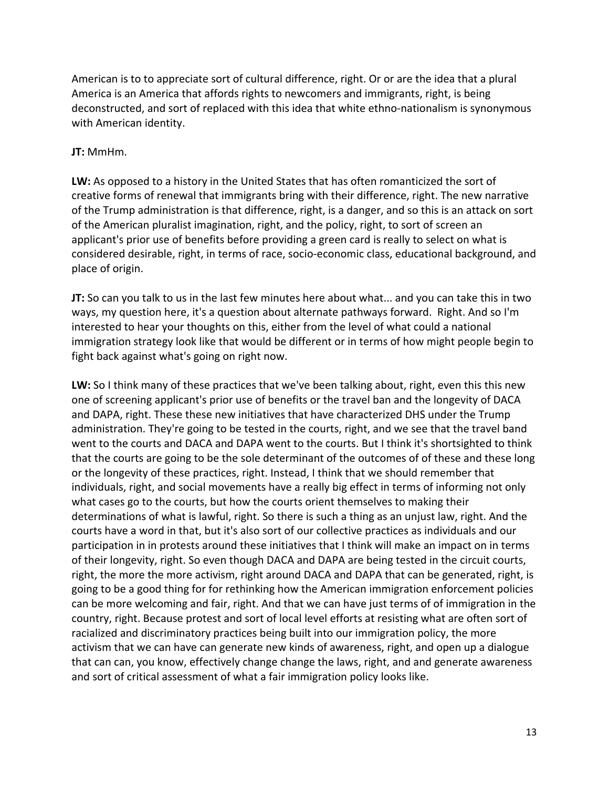American is to to appreciate sort of cultural difference, right. Or or are the idea that a plural America is an America that affords rights to newcomers and immigrants, right, is being deconstructed, and sort of replaced with this idea that white ethno-nationalism is synonymous with American identity.

#### **JT:** MmHm.

**LW:** As opposed to a history in the United States that has often romanticized the sort of creative forms of renewal that immigrants bring with their difference, right. The new narrative of the Trump administration is that difference, right, is a danger, and so this is an attack on sort of the American pluralist imagination, right, and the policy, right, to sort of screen an applicant's prior use of benefits before providing a green card is really to select on what is considered desirable, right, in terms of race, socio-economic class, educational background, and place of origin.

**JT:** So can you talk to us in the last few minutes here about what... and you can take this in two ways, my question here, it's a question about alternate pathways forward. Right. And so I'm interested to hear your thoughts on this, either from the level of what could a national immigration strategy look like that would be different or in terms of how might people begin to fight back against what's going on right now.

**LW:** So I think many of these practices that we've been talking about, right, even this this new one of screening applicant's prior use of benefits or the travel ban and the longevity of DACA and DAPA, right. These these new initiatives that have characterized DHS under the Trump administration. They're going to be tested in the courts, right, and we see that the travel band went to the courts and DACA and DAPA went to the courts. But I think it's shortsighted to think that the courts are going to be the sole determinant of the outcomes of of these and these long or the longevity of these practices, right. Instead, I think that we should remember that individuals, right, and social movements have a really big effect in terms of informing not only what cases go to the courts, but how the courts orient themselves to making their determinations of what is lawful, right. So there is such a thing as an unjust law, right. And the courts have a word in that, but it's also sort of our collective practices as individuals and our participation in in protests around these initiatives that I think will make an impact on in terms of their longevity, right. So even though DACA and DAPA are being tested in the circuit courts, right, the more the more activism, right around DACA and DAPA that can be generated, right, is going to be a good thing for for rethinking how the American immigration enforcement policies can be more welcoming and fair, right. And that we can have just terms of of immigration in the country, right. Because protest and sort of local level efforts at resisting what are often sort of racialized and discriminatory practices being built into our immigration policy, the more activism that we can have can generate new kinds of awareness, right, and open up a dialogue that can can, you know, effectively change change the laws, right, and and generate awareness and sort of critical assessment of what a fair immigration policy looks like.